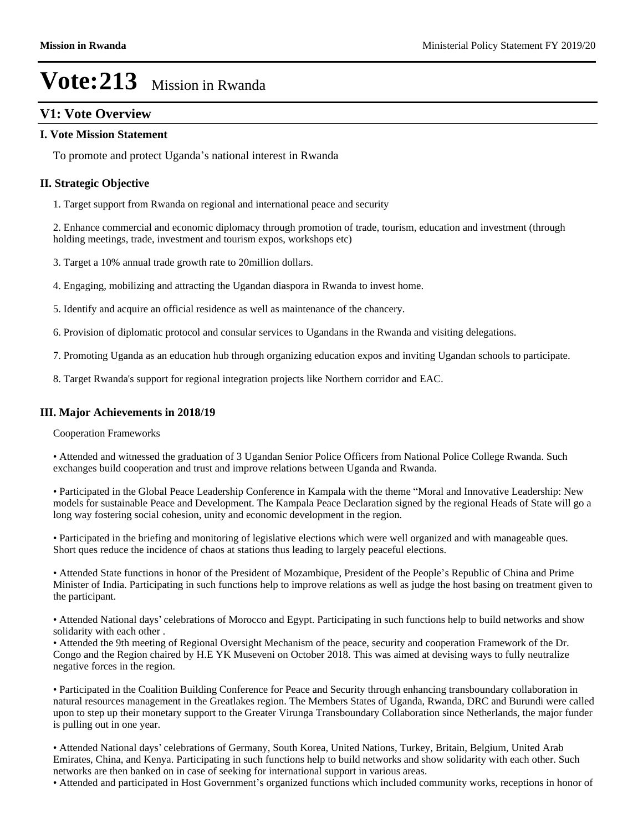### **V1: Vote Overview**

#### **I. Vote Mission Statement**

To promote and protect Uganda's national interest in Rwanda

#### **II. Strategic Objective**

1. Target support from Rwanda on regional and international peace and security

2. Enhance commercial and economic diplomacy through promotion of trade, tourism, education and investment (through holding meetings, trade, investment and tourism expos, workshops etc)

- 3. Target a 10% annual trade growth rate to 20million dollars.
- 4. Engaging, mobilizing and attracting the Ugandan diaspora in Rwanda to invest home.
- 5. Identify and acquire an official residence as well as maintenance of the chancery.
- 6. Provision of diplomatic protocol and consular services to Ugandans in the Rwanda and visiting delegations.
- 7. Promoting Uganda as an education hub through organizing education expos and inviting Ugandan schools to participate.
- 8. Target Rwanda's support for regional integration projects like Northern corridor and EAC.

#### **III. Major Achievements in 2018/19**

Cooperation Frameworks

Attended and witnessed the graduation of 3 Ugandan Senior Police Officers from National Police College Rwanda. Such exchanges build cooperation and trust and improve relations between Uganda and Rwanda.

• Participated in the Global Peace Leadership Conference in Kampala with the theme "Moral and Innovative Leadership: New models for sustainable Peace and Development. The Kampala Peace Declaration signed by the regional Heads of State will go a long way fostering social cohesion, unity and economic development in the region.

Participated in the briefing and monitoring of legislative elections which were well organized and with manageable ques. Short ques reduce the incidence of chaos at stations thus leading to largely peaceful elections.

• Attended State functions in honor of the President of Mozambique, President of the People's Republic of China and Prime Minister of India. Participating in such functions help to improve relations as well as judge the host basing on treatment given to the participant.

• Attended National days' celebrations of Morocco and Egypt. Participating in such functions help to build networks and show solidarity with each other .

Attended the 9th meeting of Regional Oversight Mechanism of the peace, security and cooperation Framework of the Dr. Congo and the Region chaired by H.E YK Museveni on October 2018. This was aimed at devising ways to fully neutralize negative forces in the region.

Participated in the Coalition Building Conference for Peace and Security through enhancing transboundary collaboration in natural resources management in the Greatlakes region. The Members States of Uganda, Rwanda, DRC and Burundi were called upon to step up their monetary support to the Greater Virunga Transboundary Collaboration since Netherlands, the major funder is pulling out in one year.

• Attended National days' celebrations of Germany, South Korea, United Nations, Turkey, Britain, Belgium, United Arab Emirates, China, and Kenya. Participating in such functions help to build networks and show solidarity with each other. Such networks are then banked on in case of seeking for international support in various areas.

• Attended and participated in Host Government's organized functions which included community works, receptions in honor of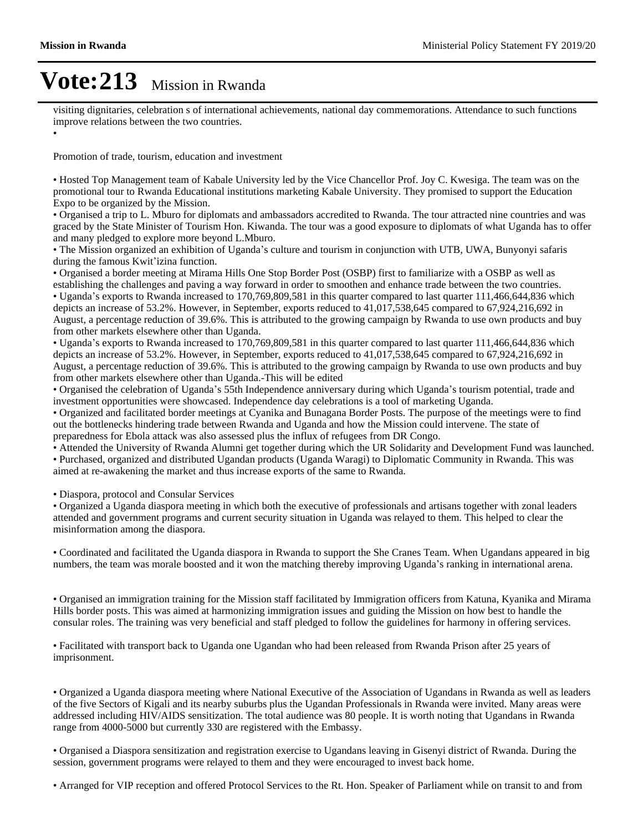$\bullet$ 

## **Vote:213** Mission in Rwanda

visiting dignitaries, celebration s of international achievements, national day commemorations. Attendance to such functions improve relations between the two countries.

Promotion of trade, tourism, education and investment

Hosted Top Management team of Kabale University led by the Vice Chancellor Prof. Joy C. Kwesiga. The team was on the promotional tour to Rwanda Educational institutions marketing Kabale University. They promised to support the Education Expo to be organized by the Mission.

Organised a trip to L. Mburo for diplomats and ambassadors accredited to Rwanda. The tour attracted nine countries and was graced by the State Minister of Tourism Hon. Kiwanda. The tour was a good exposure to diplomats of what Uganda has to offer and many pledged to explore more beyond L.Mburo.

• The Mission organized an exhibition of Uganda's culture and tourism in conjunction with UTB, UWA, Bunyonyi safaris during the famous Kwit'izina function.

Organised a border meeting at Mirama Hills One Stop Border Post (OSBP) first to familiarize with a OSBP as well as establishing the challenges and paving a way forward in order to smoothen and enhance trade between the two countries.

• Uganda's exports to Rwanda increased to 170,769,809,581 in this quarter compared to last quarter 111,466,644,836 which depicts an increase of 53.2%. However, in September, exports reduced to 41,017,538,645 compared to 67,924,216,692 in August, a percentage reduction of 39.6%. This is attributed to the growing campaign by Rwanda to use own products and buy from other markets elsewhere other than Uganda.

• Uganda's exports to Rwanda increased to 170,769,809,581 in this quarter compared to last quarter 111,466,644,836 which depicts an increase of 53.2%. However, in September, exports reduced to 41,017,538,645 compared to 67,924,216,692 in August, a percentage reduction of 39.6%. This is attributed to the growing campaign by Rwanda to use own products and buy from other markets elsewhere other than Uganda.-This will be edited

• Organised the celebration of Uganda's 55th Independence anniversary during which Uganda's tourism potential, trade and investment opportunities were showcased. Independence day celebrations is a tool of marketing Uganda.

Organized and facilitated border meetings at Cyanika and Bunagana Border Posts. The purpose of the meetings were to find out the bottlenecks hindering trade between Rwanda and Uganda and how the Mission could intervene. The state of preparedness for Ebola attack was also assessed plus the influx of refugees from DR Congo.

Attended the University of Rwanda Alumni get together during which the UR Solidarity and Development Fund was launched. Purchased, organized and distributed Ugandan products (Uganda Waragi) to Diplomatic Community in Rwanda. This was aimed at re-awakening the market and thus increase exports of the same to Rwanda.

Diaspora, protocol and Consular Services

Organized a Uganda diaspora meeting in which both the executive of professionals and artisans together with zonal leaders attended and government programs and current security situation in Uganda was relayed to them. This helped to clear the misinformation among the diaspora.

Coordinated and facilitated the Uganda diaspora in Rwanda to support the She Cranes Team. When Ugandans appeared in big numbers, the team was morale boosted and it won the matching thereby improving Uganda's ranking in international arena.

Organised an immigration training for the Mission staff facilitated by Immigration officers from Katuna, Kyanika and Mirama Hills border posts. This was aimed at harmonizing immigration issues and guiding the Mission on how best to handle the consular roles. The training was very beneficial and staff pledged to follow the guidelines for harmony in offering services.

Facilitated with transport back to Uganda one Ugandan who had been released from Rwanda Prison after 25 years of imprisonment.

Organized a Uganda diaspora meeting where National Executive of the Association of Ugandans in Rwanda as well as leaders of the five Sectors of Kigali and its nearby suburbs plus the Ugandan Professionals in Rwanda were invited. Many areas were addressed including HIV/AIDS sensitization. The total audience was 80 people. It is worth noting that Ugandans in Rwanda range from 4000-5000 but currently 330 are registered with the Embassy.

Organised a Diaspora sensitization and registration exercise to Ugandans leaving in Gisenyi district of Rwanda. During the session, government programs were relayed to them and they were encouraged to invest back home.

Arranged for VIP reception and offered Protocol Services to the Rt. Hon. Speaker of Parliament while on transit to and from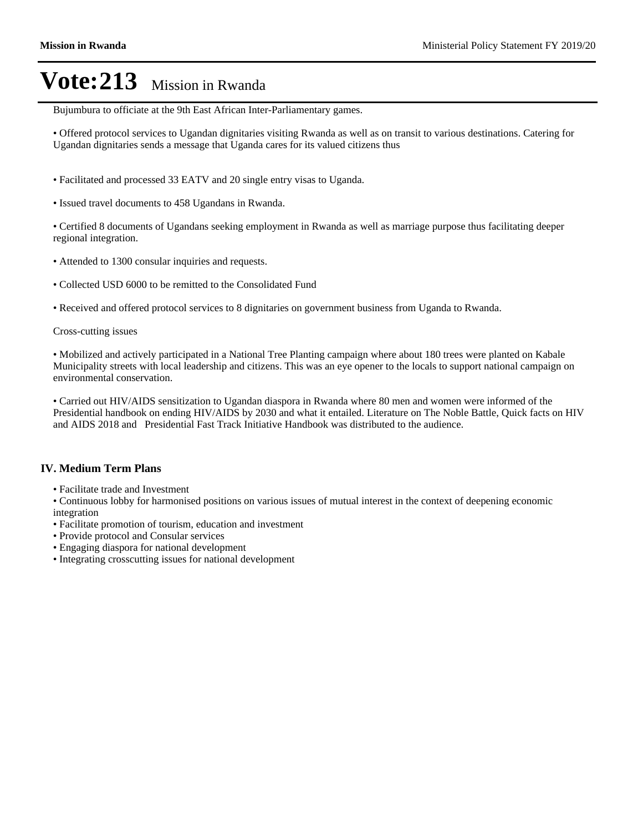Bujumbura to officiate at the 9th East African Inter-Parliamentary games.

Offered protocol services to Ugandan dignitaries visiting Rwanda as well as on transit to various destinations. Catering for Ugandan dignitaries sends a message that Uganda cares for its valued citizens thus

- Facilitated and processed 33 EATV and 20 single entry visas to Uganda.
- Issued travel documents to 458 Ugandans in Rwanda.

Certified 8 documents of Ugandans seeking employment in Rwanda as well as marriage purpose thus facilitating deeper regional integration.

- Attended to 1300 consular inquiries and requests.
- Collected USD 6000 to be remitted to the Consolidated Fund

Received and offered protocol services to 8 dignitaries on government business from Uganda to Rwanda.

Cross-cutting issues

Mobilized and actively participated in a National Tree Planting campaign where about 180 trees were planted on Kabale Municipality streets with local leadership and citizens. This was an eye opener to the locals to support national campaign on environmental conservation.

Carried out HIV/AIDS sensitization to Ugandan diaspora in Rwanda where 80 men and women were informed of the Presidential handbook on ending HIV/AIDS by 2030 and what it entailed. Literature on The Noble Battle, Quick facts on HIV and AIDS 2018 and Presidential Fast Track Initiative Handbook was distributed to the audience.

#### **IV. Medium Term Plans**

Facilitate trade and Investment

Continuous lobby for harmonised positions on various issues of mutual interest in the context of deepening economic integration

- Facilitate promotion of tourism, education and investment
- Provide protocol and Consular services
- Engaging diaspora for national development
- Integrating crosscutting issues for national development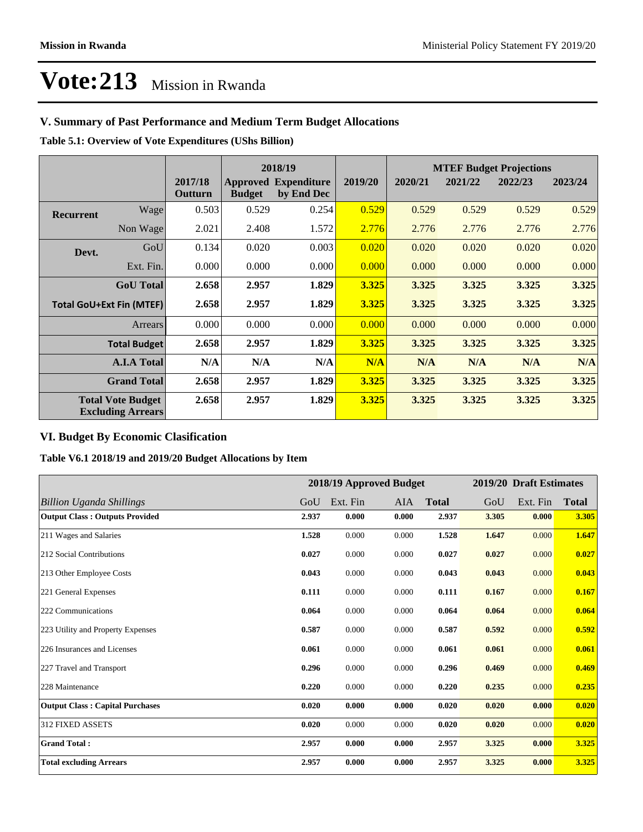## **V. Summary of Past Performance and Medium Term Budget Allocations**

**Table 5.1: Overview of Vote Expenditures (UShs Billion)**

|                                                      |                  |                    |               | 2018/19                                   |         | <b>MTEF Budget Projections</b> |         |         |         |
|------------------------------------------------------|------------------|--------------------|---------------|-------------------------------------------|---------|--------------------------------|---------|---------|---------|
|                                                      |                  | 2017/18<br>Outturn | <b>Budget</b> | <b>Approved Expenditure</b><br>by End Dec | 2019/20 | 2020/21                        | 2021/22 | 2022/23 | 2023/24 |
| Recurrent                                            | Wagel            | 0.503              | 0.529         | 0.254                                     | 0.529   | 0.529                          | 0.529   | 0.529   | 0.529   |
|                                                      | Non Wage         | 2.021              | 2.408         | 1.572                                     | 2.776   | 2.776                          | 2.776   | 2.776   | 2.776   |
| Devt.                                                | GoU              | 0.134              | 0.020         | 0.003                                     | 0.020   | 0.020                          | 0.020   | 0.020   | 0.020   |
|                                                      | Ext. Fin.        | 0.000              | 0.000         | 0.000                                     | 0.000   | 0.000                          | 0.000   | 0.000   | 0.000   |
|                                                      | <b>GoU</b> Total | 2.658              | 2.957         | 1.829                                     | 3.325   | 3.325                          | 3.325   | 3.325   | 3.325   |
| <b>Total GoU+Ext Fin (MTEF)</b>                      |                  | 2.658              | 2.957         | 1.829                                     | 3.325   | 3.325                          | 3.325   | 3.325   | 3.325   |
|                                                      | Arrears          | 0.000              | 0.000         | 0.000                                     | 0.000   | 0.000                          | 0.000   | 0.000   | 0.000   |
| <b>Total Budget</b>                                  |                  | 2.658              | 2.957         | 1.829                                     | 3.325   | 3.325                          | 3.325   | 3.325   | 3.325   |
| <b>A.I.A Total</b>                                   |                  | N/A                | N/A           | N/A                                       | N/A     | N/A                            | N/A     | N/A     | N/A     |
| <b>Grand Total</b>                                   |                  | 2.658              | 2.957         | 1.829                                     | 3.325   | 3.325                          | 3.325   | 3.325   | 3.325   |
| <b>Total Vote Budget</b><br><b>Excluding Arrears</b> |                  | 2.658              | 2.957         | 1.829                                     | 3.325   | 3.325                          | 3.325   | 3.325   | 3.325   |

### **VI. Budget By Economic Clasification**

**Table V6.1 2018/19 and 2019/20 Budget Allocations by Item**

|                                        |       | 2018/19 Approved Budget |       |              |       | 2019/20 Draft Estimates |              |
|----------------------------------------|-------|-------------------------|-------|--------------|-------|-------------------------|--------------|
| <b>Billion Uganda Shillings</b>        | GoU   | Ext. Fin                | AIA   | <b>Total</b> | GoU   | Ext. Fin                | <b>Total</b> |
| <b>Output Class: Outputs Provided</b>  | 2.937 | 0.000                   | 0.000 | 2.937        | 3.305 | 0.000                   | 3.305        |
| 211 Wages and Salaries                 | 1.528 | 0.000                   | 0.000 | 1.528        | 1.647 | 0.000                   | 1.647        |
| 212 Social Contributions               | 0.027 | 0.000                   | 0.000 | 0.027        | 0.027 | 0.000                   | 0.027        |
| 213 Other Employee Costs               | 0.043 | 0.000                   | 0.000 | 0.043        | 0.043 | 0.000                   | 0.043        |
| 221 General Expenses                   | 0.111 | 0.000                   | 0.000 | 0.111        | 0.167 | 0.000                   | 0.167        |
| 222 Communications                     | 0.064 | 0.000                   | 0.000 | 0.064        | 0.064 | 0.000                   | 0.064        |
| 223 Utility and Property Expenses      | 0.587 | 0.000                   | 0.000 | 0.587        | 0.592 | 0.000                   | 0.592        |
| 226 Insurances and Licenses            | 0.061 | 0.000                   | 0.000 | 0.061        | 0.061 | 0.000                   | 0.061        |
| 227 Travel and Transport               | 0.296 | 0.000                   | 0.000 | 0.296        | 0.469 | 0.000                   | 0.469        |
| 228 Maintenance                        | 0.220 | 0.000                   | 0.000 | 0.220        | 0.235 | 0.000                   | 0.235        |
| <b>Output Class: Capital Purchases</b> | 0.020 | 0.000                   | 0.000 | 0.020        | 0.020 | 0.000                   | 0.020        |
| <b>312 FIXED ASSETS</b>                | 0.020 | 0.000                   | 0.000 | 0.020        | 0.020 | 0.000                   | 0.020        |
| <b>Grand Total:</b>                    | 2.957 | 0.000                   | 0.000 | 2.957        | 3.325 | 0.000                   | 3.325        |
| <b>Total excluding Arrears</b>         | 2.957 | 0.000                   | 0.000 | 2.957        | 3.325 | 0.000                   | 3.325        |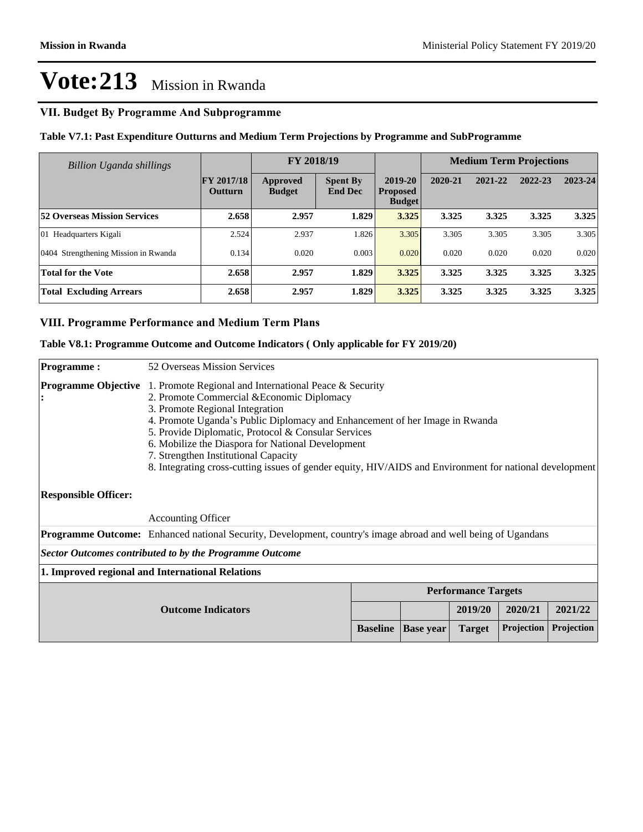#### **VII. Budget By Programme And Subprogramme**

#### **Table V7.1: Past Expenditure Outturns and Medium Term Projections by Programme and SubProgramme**

| Billion Uganda shillings             |                                     | FY 2018/19                |                                   |                                             |         | <b>Medium Term Projections</b> |         |         |
|--------------------------------------|-------------------------------------|---------------------------|-----------------------------------|---------------------------------------------|---------|--------------------------------|---------|---------|
|                                      | <b>FY 2017/18</b><br><b>Outturn</b> | Approved<br><b>Budget</b> | <b>Spent By</b><br><b>End Dec</b> | 2019-20<br><b>Proposed</b><br><b>Budget</b> | 2020-21 | 2021-22                        | 2022-23 | 2023-24 |
| <b>52 Overseas Mission Services</b>  | 2.658                               | 2.957                     | 1.829                             | 3.325                                       | 3.325   | 3.325                          | 3.325   | 3.325   |
| 01 Headquarters Kigali               | 2.524                               | 2.937                     | 1.826                             | 3.305                                       | 3.305   | 3.305                          | 3.305   | 3.305   |
| 0404 Strengthening Mission in Rwanda | 0.134                               | 0.020                     | 0.003                             | 0.020                                       | 0.020   | 0.020                          | 0.020   | 0.020   |
| <b>Total for the Vote</b>            | 2.658                               | 2.957                     | 1.829                             | 3.325                                       | 3.325   | 3.325                          | 3.325   | 3.325   |
| <b>Total Excluding Arrears</b>       | 2.658                               | 2.957                     | 1.829                             | 3.325                                       | 3.325   | 3.325                          | 3.325   | 3.325   |

#### **VIII. Programme Performance and Medium Term Plans**

#### **Table V8.1: Programme Outcome and Outcome Indicators ( Only applicable for FY 2019/20)**

| <b>Programme:</b>                                                                                                                                                                                                                                                                                                                                                                                                                                                                                                                                  | 52 Overseas Mission Services                                                                                         |  |                  |               |            |            |
|----------------------------------------------------------------------------------------------------------------------------------------------------------------------------------------------------------------------------------------------------------------------------------------------------------------------------------------------------------------------------------------------------------------------------------------------------------------------------------------------------------------------------------------------------|----------------------------------------------------------------------------------------------------------------------|--|------------------|---------------|------------|------------|
| <b>Programme Objective</b><br>1. Promote Regional and International Peace & Security<br>2. Promote Commercial & Economic Diplomacy<br>3. Promote Regional Integration<br>4. Promote Uganda's Public Diplomacy and Enhancement of her Image in Rwanda<br>5. Provide Diplomatic, Protocol & Consular Services<br>6. Mobilize the Diaspora for National Development<br>7. Strengthen Institutional Capacity<br>8. Integrating cross-cutting issues of gender equity, HIV/AIDS and Environment for national development<br><b>Responsible Officer:</b> |                                                                                                                      |  |                  |               |            |            |
|                                                                                                                                                                                                                                                                                                                                                                                                                                                                                                                                                    | <b>Accounting Officer</b>                                                                                            |  |                  |               |            |            |
|                                                                                                                                                                                                                                                                                                                                                                                                                                                                                                                                                    | <b>Programme Outcome:</b> Enhanced national Security, Development, country's image abroad and well being of Ugandans |  |                  |               |            |            |
| Sector Outcomes contributed to by the Programme Outcome                                                                                                                                                                                                                                                                                                                                                                                                                                                                                            |                                                                                                                      |  |                  |               |            |            |
| 1. Improved regional and International Relations                                                                                                                                                                                                                                                                                                                                                                                                                                                                                                   |                                                                                                                      |  |                  |               |            |            |
|                                                                                                                                                                                                                                                                                                                                                                                                                                                                                                                                                    | <b>Performance Targets</b>                                                                                           |  |                  |               |            |            |
| <b>Outcome Indicators</b>                                                                                                                                                                                                                                                                                                                                                                                                                                                                                                                          |                                                                                                                      |  |                  | 2019/20       | 2020/21    | 2021/22    |
|                                                                                                                                                                                                                                                                                                                                                                                                                                                                                                                                                    |                                                                                                                      |  | <b>Base</b> year | <b>Target</b> | Projection | Projection |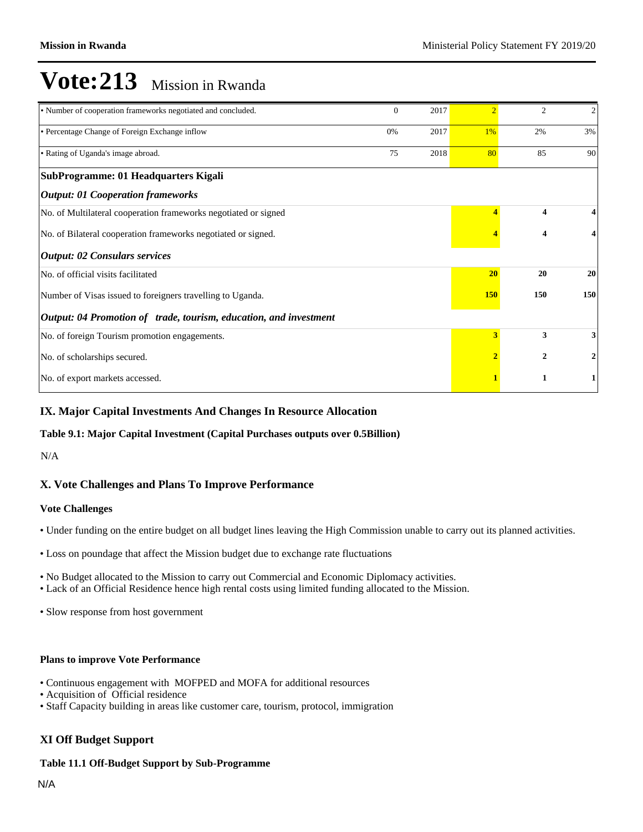| • Number of cooperation frameworks negotiated and concluded.      |    | 2017 | $\mathcal{D}$ | 2                       | $\sqrt{2}$ |
|-------------------------------------------------------------------|----|------|---------------|-------------------------|------------|
| • Percentage Change of Foreign Exchange inflow                    | 0% | 2017 | 1%            | 2%                      | 3%         |
| • Rating of Uganda's image abroad.                                | 75 | 2018 | 80            | 85                      | 90         |
| SubProgramme: 01 Headquarters Kigali                              |    |      |               |                         |            |
| <b>Output: 01 Cooperation frameworks</b>                          |    |      |               |                         |            |
| No. of Multilateral cooperation frameworks negotiated or signed   |    |      |               | $\overline{\mathbf{4}}$ | 4          |
| No. of Bilateral cooperation frameworks negotiated or signed.     |    |      |               | 4                       | 4          |
| <b>Output: 02 Consulars services</b>                              |    |      |               |                         |            |
| No. of official visits facilitated                                |    |      | 20            | 20                      | 20         |
| Number of Visas issued to foreigners travelling to Uganda.        |    |      | <b>150</b>    | 150                     | 150        |
| Output: 04 Promotion of trade, tourism, education, and investment |    |      |               |                         |            |
| No. of foreign Tourism promotion engagements.                     |    |      | 3             | 3                       | 3          |
| No. of scholarships secured.                                      |    |      |               | 2                       | 2          |
| No. of export markets accessed.                                   |    |      |               | 1                       | 1          |

#### **IX. Major Capital Investments And Changes In Resource Allocation**

#### **Table 9.1: Major Capital Investment (Capital Purchases outputs over 0.5Billion)**

N/A

### **X. Vote Challenges and Plans To Improve Performance**

#### **Vote Challenges**

- Under funding on the entire budget on all budget lines leaving the High Commission unable to carry out its planned activities.
- Loss on poundage that affect the Mission budget due to exchange rate fluctuations
- No Budget allocated to the Mission to carry out Commercial and Economic Diplomacy activities.
- Lack of an Official Residence hence high rental costs using limited funding allocated to the Mission.
- Slow response from host government

#### **Plans to improve Vote Performance**

- Continuous engagement with MOFPED and MOFA for additional resources
- Acquisition of Official residence
- Staff Capacity building in areas like customer care, tourism, protocol, immigration

#### **XI Off Budget Support**

#### **Table 11.1 Off-Budget Support by Sub-Programme**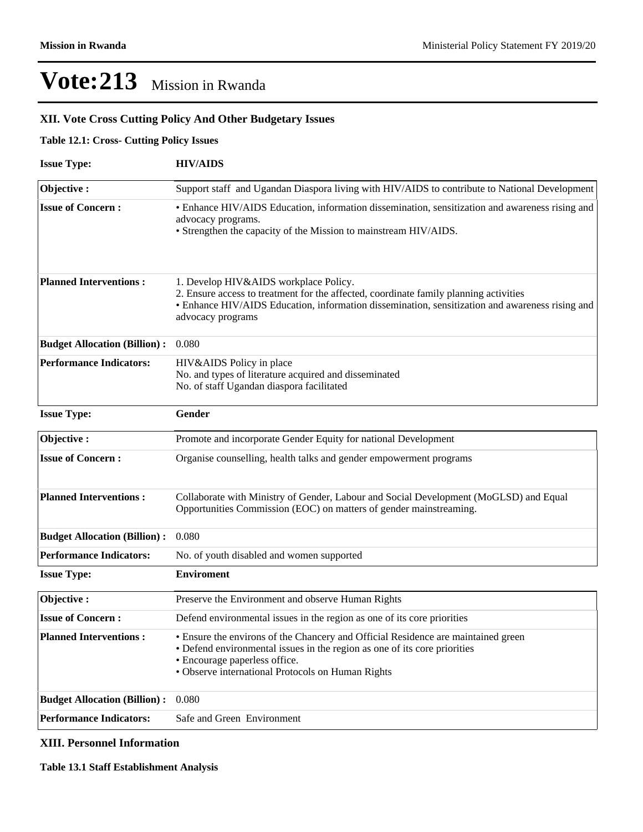## **XII. Vote Cross Cutting Policy And Other Budgetary Issues**

#### **Table 12.1: Cross- Cutting Policy Issues**

| <b>Issue Type:</b>                  | <b>HIV/AIDS</b>                                                                                                                                                                                                                                        |  |  |  |  |  |  |
|-------------------------------------|--------------------------------------------------------------------------------------------------------------------------------------------------------------------------------------------------------------------------------------------------------|--|--|--|--|--|--|
| Objective:                          | Support staff and Ugandan Diaspora living with HIV/AIDS to contribute to National Development                                                                                                                                                          |  |  |  |  |  |  |
| <b>Issue of Concern:</b>            | • Enhance HIV/AIDS Education, information dissemination, sensitization and awareness rising and<br>advocacy programs.<br>• Strengthen the capacity of the Mission to mainstream HIV/AIDS.                                                              |  |  |  |  |  |  |
| <b>Planned Interventions:</b>       | 1. Develop HIV&AIDS workplace Policy.<br>2. Ensure access to treatment for the affected, coordinate family planning activities<br>• Enhance HIV/AIDS Education, information dissemination, sensitization and awareness rising and<br>advocacy programs |  |  |  |  |  |  |
| <b>Budget Allocation (Billion):</b> | 0.080                                                                                                                                                                                                                                                  |  |  |  |  |  |  |
| <b>Performance Indicators:</b>      | HIV&AIDS Policy in place<br>No. and types of literature acquired and disseminated<br>No. of staff Ugandan diaspora facilitated                                                                                                                         |  |  |  |  |  |  |
| <b>Issue Type:</b>                  | Gender                                                                                                                                                                                                                                                 |  |  |  |  |  |  |
| Objective:                          | Promote and incorporate Gender Equity for national Development                                                                                                                                                                                         |  |  |  |  |  |  |
| <b>Issue of Concern:</b>            | Organise counselling, health talks and gender empowerment programs                                                                                                                                                                                     |  |  |  |  |  |  |
| <b>Planned Interventions:</b>       | Collaborate with Ministry of Gender, Labour and Social Development (MoGLSD) and Equal<br>Opportunities Commission (EOC) on matters of gender mainstreaming.                                                                                            |  |  |  |  |  |  |
| <b>Budget Allocation (Billion):</b> | 0.080                                                                                                                                                                                                                                                  |  |  |  |  |  |  |
| <b>Performance Indicators:</b>      | No. of youth disabled and women supported                                                                                                                                                                                                              |  |  |  |  |  |  |
| <b>Issue Type:</b>                  | <b>Enviroment</b>                                                                                                                                                                                                                                      |  |  |  |  |  |  |
| Objective:                          | Preserve the Environment and observe Human Rights                                                                                                                                                                                                      |  |  |  |  |  |  |
| <b>Issue of Concern:</b>            | Defend environmental issues in the region as one of its core priorities                                                                                                                                                                                |  |  |  |  |  |  |
| <b>Planned Interventions:</b>       | • Ensure the environs of the Chancery and Official Residence are maintained green<br>• Defend environmental issues in the region as one of its core priorities<br>• Encourage paperless office.<br>• Observe international Protocols on Human Rights   |  |  |  |  |  |  |
| <b>Budget Allocation (Billion):</b> | 0.080                                                                                                                                                                                                                                                  |  |  |  |  |  |  |
| <b>Performance Indicators:</b>      | Safe and Green Environment                                                                                                                                                                                                                             |  |  |  |  |  |  |

### **XIII. Personnel Information**

**Table 13.1 Staff Establishment Analysis**